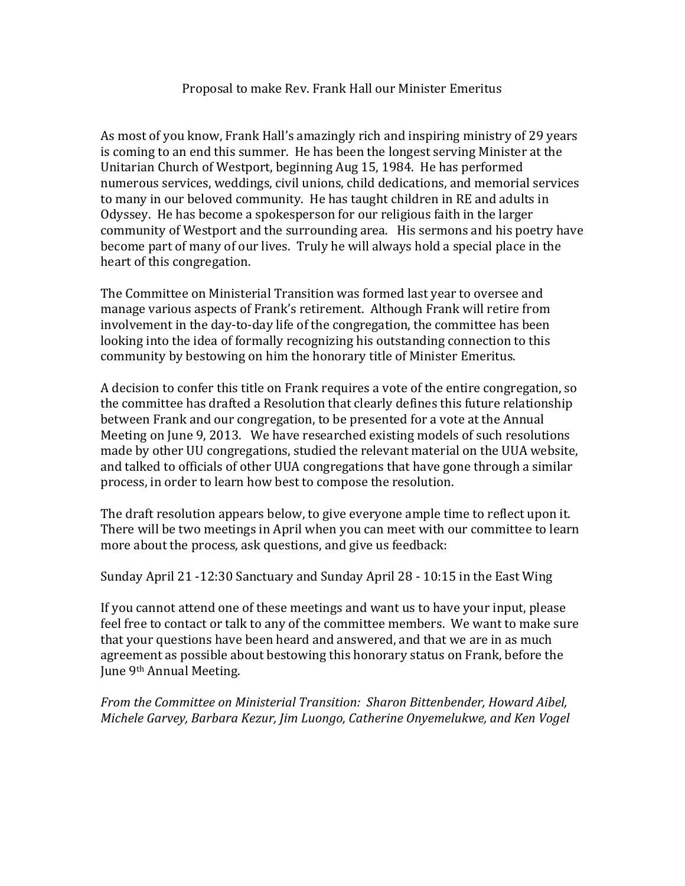## Proposal to make Rev. Frank Hall our Minister Emeritus

As most of you know, Frank Hall's amazingly rich and inspiring ministry of 29 years is coming to an end this summer. He has been the longest serving Minister at the Unitarian Church of Westport, beginning Aug 15, 1984. He has performed numerous services, weddings, civil unions, child dedications, and memorial services to many in our beloved community. He has taught children in RE and adults in Odyssey. He has become a spokesperson for our religious faith in the larger community of Westport and the surrounding area. His sermons and his poetry have become part of many of our lives. Truly he will always hold a special place in the heart of this congregation.

The Committee on Ministerial Transition was formed last year to oversee and manage various aspects of Frank's retirement. Although Frank will retire from involvement in the day-to-day life of the congregation, the committee has been looking into the idea of formally recognizing his outstanding connection to this community by bestowing on him the honorary title of Minister Emeritus.

A decision to confer this title on Frank requires a vote of the entire congregation, so the committee has drafted a Resolution that clearly defines this future relationship between Frank and our congregation, to be presented for a vote at the Annual Meeting on June 9, 2013. We have researched existing models of such resolutions made by other UU congregations, studied the relevant material on the UUA website, and talked to officials of other UUA congregations that have gone through a similar process, in order to learn how best to compose the resolution.

The draft resolution appears below, to give everyone ample time to reflect upon it. There will be two meetings in April when you can meet with our committee to learn more about the process, ask questions, and give us feedback:

Sunday April 21 -12:30 Sanctuary and Sunday April 28 - 10:15 in the East Wing

If you cannot attend one of these meetings and want us to have your input, please feel free to contact or talk to any of the committee members. We want to make sure that your questions have been heard and answered, and that we are in as much agreement as possible about bestowing this honorary status on Frank, before the June 9<sup>th</sup> Annual Meeting.

*From%the%Committee%on%Ministerial%Transition:%%Sharon%Bittenbender,%Howard%Aibel,% Michele%Garvey,%Barbara%Kezur,%Jim%Luongo,%Catherine%Onyemelukwe,%and%Ken%Vogel*